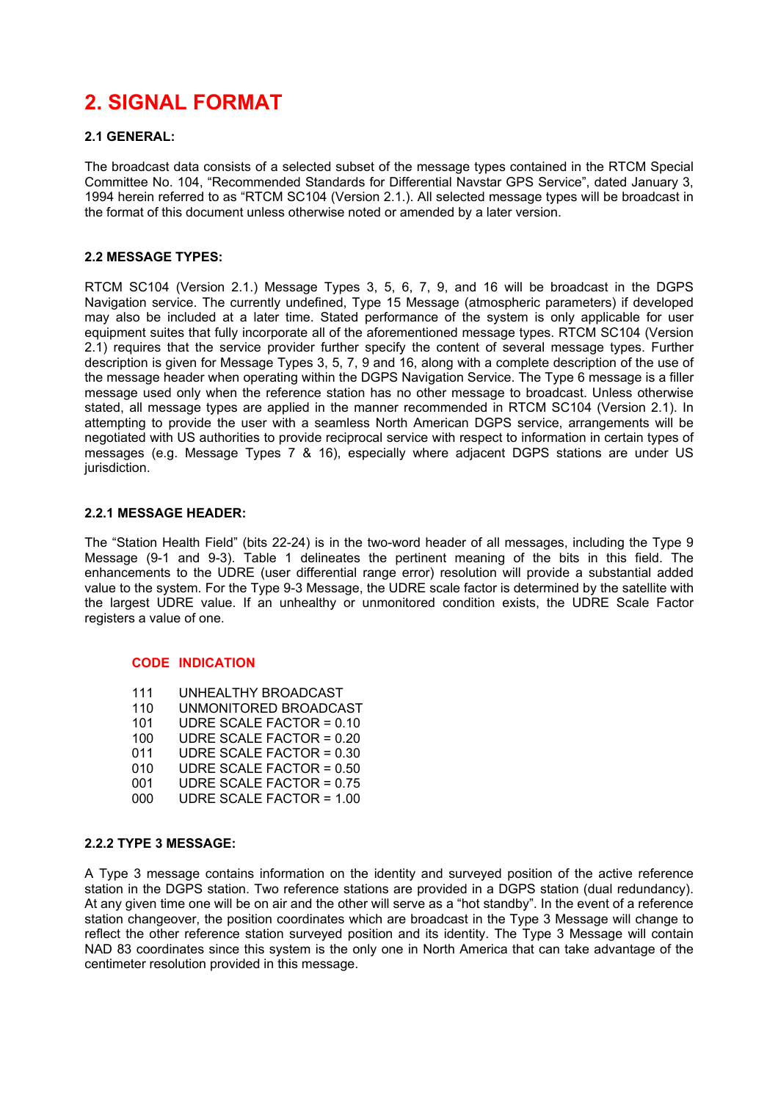# **2. SIGNAL FORMAT**

# **2.1 GENERAL:**

The broadcast data consists of a selected subset of the message types contained in the RTCM Special Committee No. 104, "Recommended Standards for Differential Navstar GPS Service", dated January 3, 1994 herein referred to as "RTCM SC104 (Version 2.1.). All selected message types will be broadcast in the format of this document unless otherwise noted or amended by a later version.

# **2.2 MESSAGE TYPES:**

RTCM SC104 (Version 2.1.) Message Types 3, 5, 6, 7, 9, and 16 will be broadcast in the DGPS Navigation service. The currently undefined, Type 15 Message (atmospheric parameters) if developed may also be included at a later time. Stated performance of the system is only applicable for user equipment suites that fully incorporate all of the aforementioned message types. RTCM SC104 (Version 2.1) requires that the service provider further specify the content of several message types. Further description is given for Message Types 3, 5, 7, 9 and 16, along with a complete description of the use of the message header when operating within the DGPS Navigation Service. The Type 6 message is a filler message used only when the reference station has no other message to broadcast. Unless otherwise stated, all message types are applied in the manner recommended in RTCM SC104 (Version 2.1). In attempting to provide the user with a seamless North American DGPS service, arrangements will be negotiated with US authorities to provide reciprocal service with respect to information in certain types of messages (e.g. Message Types 7 & 16), especially where adjacent DGPS stations are under US jurisdiction.

# **2.2.1 MESSAGE HEADER:**

The "Station Health Field" (bits 22-24) is in the two-word header of all messages, including the Type 9 Message (9-1 and 9-3). Table 1 delineates the pertinent meaning of the bits in this field. The enhancements to the UDRE (user differential range error) resolution will provide a substantial added value to the system. For the Type 9-3 Message, the UDRE scale factor is determined by the satellite with the largest UDRE value. If an unhealthy or unmonitored condition exists, the UDRE Scale Factor registers a value of one.

# **CODE INDICATION**

- 111 UNHEALTHY BROADCAST
- 110 UNMONITORED BROADCAST
- 101 UDRE SCALE FACTOR = 0.10
- 100 UDRE SCALE FACTOR = 0.20
- 011 UDRE SCALE FACTOR = 0.30
- 010 UDRE SCALE FACTOR = 0.50
- 001 UDRE SCALE FACTOR = 0.75<br>000 UDRE SCALE FACTOR = 1.00 000 UDRE SCALE FACTOR = 1.00

# **2.2.2 TYPE 3 MESSAGE:**

A Type 3 message contains information on the identity and surveyed position of the active reference station in the DGPS station. Two reference stations are provided in a DGPS station (dual redundancy). At any given time one will be on air and the other will serve as a "hot standby". In the event of a reference station changeover, the position coordinates which are broadcast in the Type 3 Message will change to reflect the other reference station surveyed position and its identity. The Type 3 Message will contain NAD 83 coordinates since this system is the only one in North America that can take advantage of the centimeter resolution provided in this message.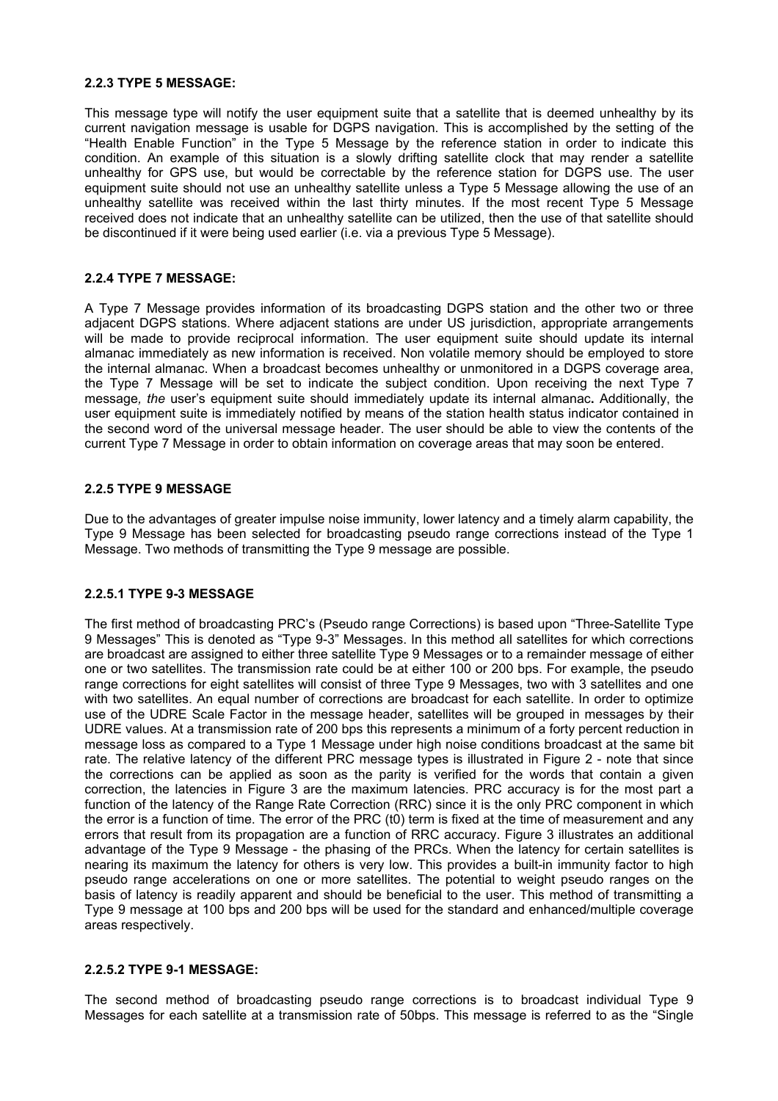#### **2.2.3 TYPE 5 MESSAGE:**

This message type will notify the user equipment suite that a satellite that is deemed unhealthy by its current navigation message is usable for DGPS navigation. This is accomplished by the setting of the ìHealth Enable Functionî in the Type 5 Message by the reference station in order to indicate this condition. An example of this situation is a slowly drifting satellite clock that may render a satellite unhealthy for GPS use, but would be correctable by the reference station for DGPS use. The user equipment suite should not use an unhealthy satellite unless a Type 5 Message allowing the use of an unhealthy satellite was received within the last thirty minutes. If the most recent Type 5 Message received does not indicate that an unhealthy satellite can be utilized, then the use of that satellite should be discontinued if it were being used earlier (i.e. via a previous Type 5 Message).

# **2.2.4 TYPE 7 MESSAGE:**

A Type 7 Message provides information of its broadcasting DGPS station and the other two or three adjacent DGPS stations. Where adjacent stations are under US jurisdiction, appropriate arrangements will be made to provide reciprocal information. The user equipment suite should update its internal almanac immediately as new information is received. Non volatile memory should be employed to store the internal almanac. When a broadcast becomes unhealthy or unmonitored in a DGPS coverage area, the Type 7 Message will be set to indicate the subject condition. Upon receiving the next Type 7 message*, the* userís equipment suite should immediately update its internal almanac**.** Additionally, the user equipment suite is immediately notified by means of the station health status indicator contained in the second word of the universal message header. The user should be able to view the contents of the current Type 7 Message in order to obtain information on coverage areas that may soon be entered.

#### **2.2.5 TYPE 9 MESSAGE**

Due to the advantages of greater impulse noise immunity, lower latency and a timely alarm capability, the Type 9 Message has been selected for broadcasting pseudo range corrections instead of the Type 1 Message. Two methods of transmitting the Type 9 message are possible.

# **2.2.5.1 TYPE 9-3 MESSAGE**

The first method of broadcasting PRC's (Pseudo range Corrections) is based upon "Three-Satellite Type 9 Messages" This is denoted as "Type 9-3" Messages. In this method all satellites for which corrections are broadcast are assigned to either three satellite Type 9 Messages or to a remainder message of either one or two satellites. The transmission rate could be at either 100 or 200 bps. For example, the pseudo range corrections for eight satellites will consist of three Type 9 Messages, two with 3 satellites and one with two satellites. An equal number of corrections are broadcast for each satellite. In order to optimize use of the UDRE Scale Factor in the message header, satellites will be grouped in messages by their UDRE values. At a transmission rate of 200 bps this represents a minimum of a forty percent reduction in message loss as compared to a Type 1 Message under high noise conditions broadcast at the same bit rate. The relative latency of the different PRC message types is illustrated in Figure 2 - note that since the corrections can be applied as soon as the parity is verified for the words that contain a given correction, the latencies in Figure 3 are the maximum latencies. PRC accuracy is for the most part a function of the latency of the Range Rate Correction (RRC) since it is the only PRC component in which the error is a function of time. The error of the PRC (t0) term is fixed at the time of measurement and any errors that result from its propagation are a function of RRC accuracy. Figure 3 illustrates an additional advantage of the Type 9 Message - the phasing of the PRCs. When the latency for certain satellites is nearing its maximum the latency for others is very low. This provides a built-in immunity factor to high pseudo range accelerations on one or more satellites. The potential to weight pseudo ranges on the basis of latency is readily apparent and should be beneficial to the user. This method of transmitting a Type 9 message at 100 bps and 200 bps will be used for the standard and enhanced/multiple coverage areas respectively.

# **2.2.5.2 TYPE 9-1 MESSAGE:**

The second method of broadcasting pseudo range corrections is to broadcast individual Type 9 Messages for each satellite at a transmission rate of 50bps. This message is referred to as the "Single"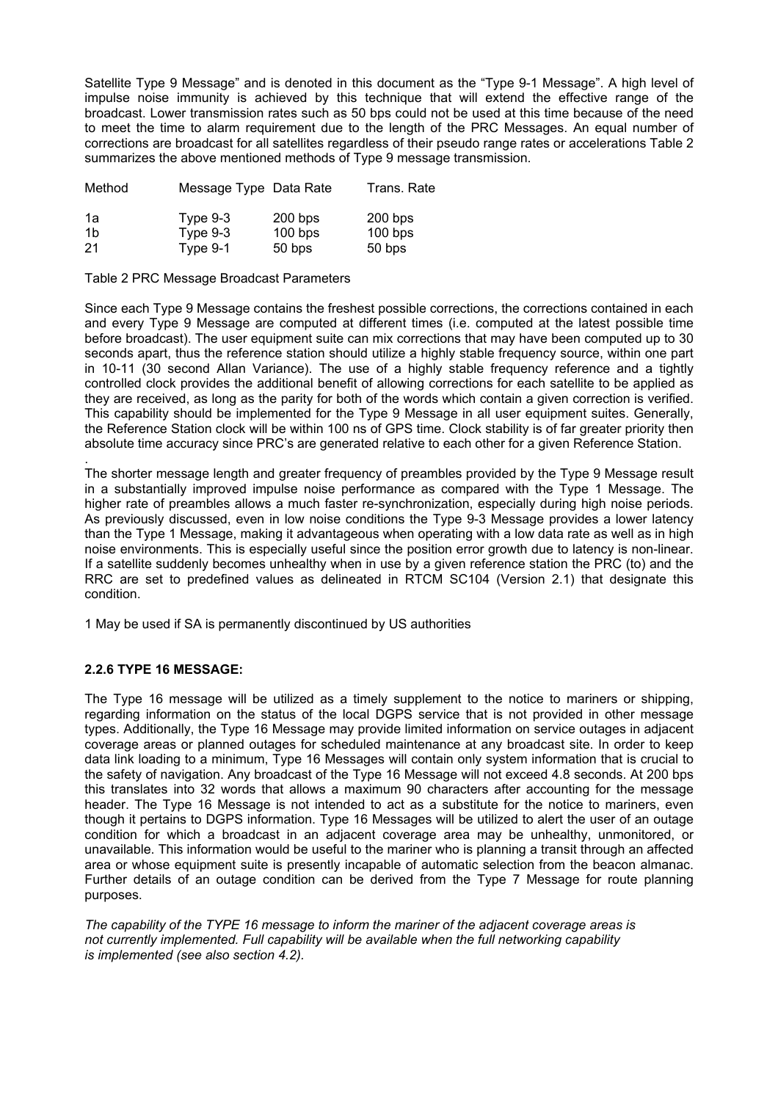Satellite Type 9 Message" and is denoted in this document as the "Type 9-1 Message". A high level of impulse noise immunity is achieved by this technique that will extend the effective range of the broadcast. Lower transmission rates such as 50 bps could not be used at this time because of the need to meet the time to alarm requirement due to the length of the PRC Messages. An equal number of corrections are broadcast for all satellites regardless of their pseudo range rates or accelerations Table 2 summarizes the above mentioned methods of Type 9 message transmission.

| Method         | Message Type Data Rate |           | Trans, Rate |  |
|----------------|------------------------|-----------|-------------|--|
| 1a             | Type $9-3$             | $200$ bps | $200$ bps   |  |
| 1 <sub>b</sub> | Type $9-3$             | $100$ bps | $100$ bps   |  |
| 21             | Type 9-1               | 50 bps    | 50 bps      |  |

#### Table 2 PRC Message Broadcast Parameters

Since each Type 9 Message contains the freshest possible corrections, the corrections contained in each and every Type 9 Message are computed at different times (i.e. computed at the latest possible time before broadcast). The user equipment suite can mix corrections that may have been computed up to 30 seconds apart, thus the reference station should utilize a highly stable frequency source, within one part in 10-11 (30 second Allan Variance). The use of a highly stable frequency reference and a tightly controlled clock provides the additional benefit of allowing corrections for each satellite to be applied as they are received, as long as the parity for both of the words which contain a given correction is verified. This capability should be implemented for the Type 9 Message in all user equipment suites. Generally, the Reference Station clock will be within 100 ns of GPS time. Clock stability is of far greater priority then absolute time accuracy since PRC's are generated relative to each other for a given Reference Station.

. The shorter message length and greater frequency of preambles provided by the Type 9 Message result in a substantially improved impulse noise performance as compared with the Type 1 Message. The higher rate of preambles allows a much faster re-synchronization, especially during high noise periods. As previously discussed, even in low noise conditions the Type 9-3 Message provides a lower latency than the Type 1 Message, making it advantageous when operating with a low data rate as well as in high noise environments. This is especially useful since the position error growth due to latency is non-linear. If a satellite suddenly becomes unhealthy when in use by a given reference station the PRC (to) and the RRC are set to predefined values as delineated in RTCM SC104 (Version 2.1) that designate this condition.

1 May be used if SA is permanently discontinued by US authorities

# **2.2.6 TYPE 16 MESSAGE:**

The Type 16 message will be utilized as a timely supplement to the notice to mariners or shipping, regarding information on the status of the local DGPS service that is not provided in other message types. Additionally, the Type 16 Message may provide limited information on service outages in adjacent coverage areas or planned outages for scheduled maintenance at any broadcast site. In order to keep data link loading to a minimum, Type 16 Messages will contain only system information that is crucial to the safety of navigation. Any broadcast of the Type 16 Message will not exceed 4.8 seconds. At 200 bps this translates into 32 words that allows a maximum 90 characters after accounting for the message header. The Type 16 Message is not intended to act as a substitute for the notice to mariners, even though it pertains to DGPS information. Type 16 Messages will be utilized to alert the user of an outage condition for which a broadcast in an adjacent coverage area may be unhealthy, unmonitored, or unavailable. This information would be useful to the mariner who is planning a transit through an affected area or whose equipment suite is presently incapable of automatic selection from the beacon almanac. Further details of an outage condition can be derived from the Type 7 Message for route planning purposes.

*The capability of the TYPE 16 message to inform the mariner of the adjacent coverage areas is not currently implemented. Full capability will be available when the full networking capability is implemented (see also section 4.2).*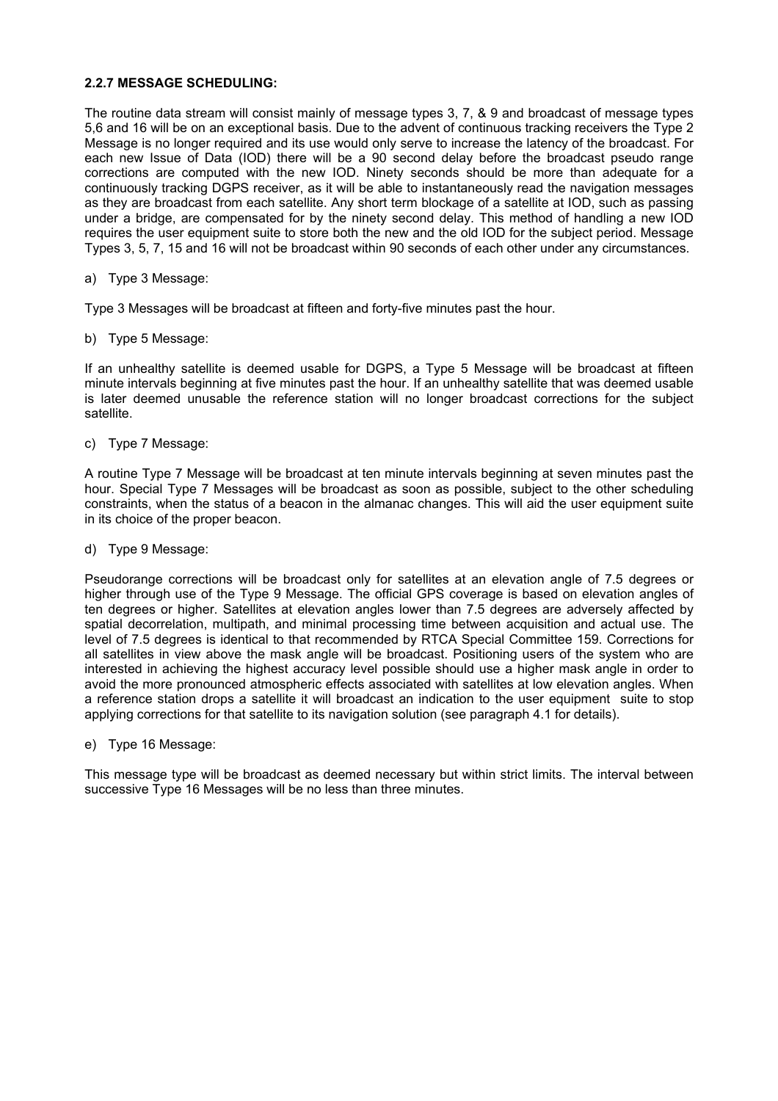#### **2.2.7 MESSAGE SCHEDULING:**

The routine data stream will consist mainly of message types 3, 7, & 9 and broadcast of message types 5,6 and 16 will be on an exceptional basis. Due to the advent of continuous tracking receivers the Type 2 Message is no longer required and its use would only serve to increase the latency of the broadcast. For each new Issue of Data (IOD) there will be a 90 second delay before the broadcast pseudo range corrections are computed with the new IOD. Ninety seconds should be more than adequate for a continuously tracking DGPS receiver, as it will be able to instantaneously read the navigation messages as they are broadcast from each satellite. Any short term blockage of a satellite at IOD, such as passing under a bridge, are compensated for by the ninety second delay. This method of handling a new IOD requires the user equipment suite to store both the new and the old IOD for the subject period. Message Types 3, 5, 7, 15 and 16 will not be broadcast within 90 seconds of each other under any circumstances.

a) Type 3 Message:

Type 3 Messages will be broadcast at fifteen and forty-five minutes past the hour.

b) Type 5 Message:

If an unhealthy satellite is deemed usable for DGPS, a Type 5 Message will be broadcast at fifteen minute intervals beginning at five minutes past the hour. If an unhealthy satellite that was deemed usable is later deemed unusable the reference station will no longer broadcast corrections for the subject satellite.

c) Type 7 Message:

A routine Type 7 Message will be broadcast at ten minute intervals beginning at seven minutes past the hour. Special Type 7 Messages will be broadcast as soon as possible, subject to the other scheduling constraints, when the status of a beacon in the almanac changes. This will aid the user equipment suite in its choice of the proper beacon.

d) Type 9 Message:

Pseudorange corrections will be broadcast only for satellites at an elevation angle of 7.5 degrees or higher through use of the Type 9 Message. The official GPS coverage is based on elevation angles of ten degrees or higher. Satellites at elevation angles lower than 7.5 degrees are adversely affected by spatial decorrelation, multipath, and minimal processing time between acquisition and actual use. The level of 7.5 degrees is identical to that recommended by RTCA Special Committee 159. Corrections for all satellites in view above the mask angle will be broadcast. Positioning users of the system who are interested in achieving the highest accuracy level possible should use a higher mask angle in order to avoid the more pronounced atmospheric effects associated with satellites at low elevation angles. When a reference station drops a satellite it will broadcast an indication to the user equipment suite to stop applying corrections for that satellite to its navigation solution (see paragraph 4.1 for details).

e) Type 16 Message:

This message type will be broadcast as deemed necessary but within strict limits. The interval between successive Type 16 Messages will be no less than three minutes.